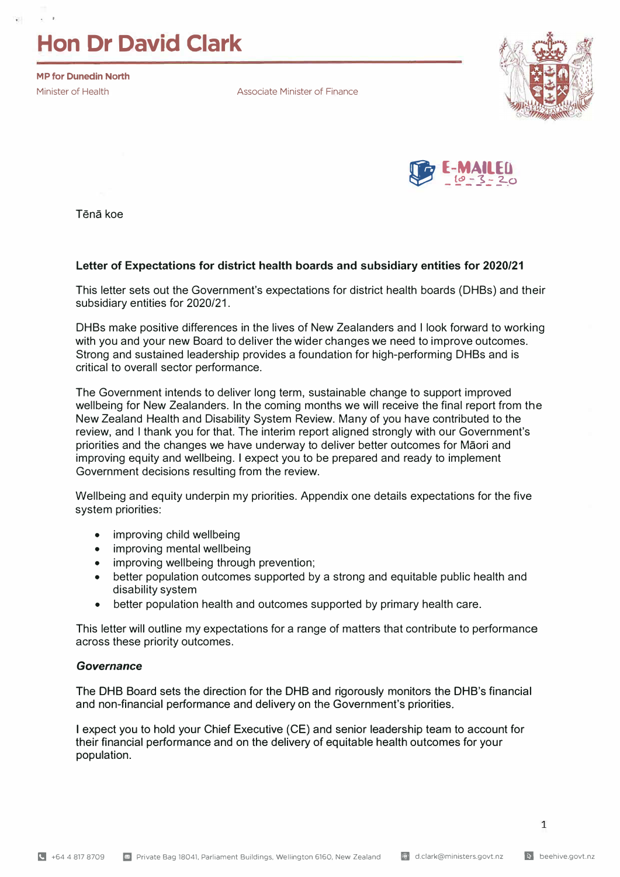# **Hon Dr David Clark**

**MP for Dunedin North** 

. '

Minister of Health **Associate Minister of Finance** 





Tena koe

# **Letter of Expectations for district health boards and subsidiary entities for 2020/21**

This letter sets out the Government's expectations for district health boards (DHBs) and their subsidiary entities for 2020/21.

DHBs make positive differences in the lives of New Zealanders and I look forward to working with you and your new Board to deliver the wider changes we need to improve outcomes. Strong and sustained leadership provides a foundation for high-performing DHBs and is critical to overall sector performance.

The Government intends to deliver long term, sustainable change to support improved wellbeing for New Zealanders. In the coming months we will receive the final report from the New Zealand Health and Disability System Review. Many of you have contributed to the review, and I thank you for that. The interim report aligned strongly with our Government's priorities and the changes we have underway to deliver better outcomes for Maori and improving equity and wellbeing. I expect you to be prepared and ready to implement Government decisions resulting from the review.

Wellbeing and equity underpin my priorities. Appendix one details expectations for the five system priorities:

- improving child wellbeing
- improving mental wellbeing
- improving wellbeing through prevention;
- better population outcomes supported by a strong and equitable public health and disability system
- better population health and outcomes supported by primary health care.

This letter will outline my expectations for a range of matters that contribute to performance across these priority outcomes.

# *Governance*

The DHB Board sets the direction for the DHB and rigorously monitors the DHB's financial **and non-financial performance and delivery on** the **Government's priorities.**

**I expect you to hold your Chief Executive (CE) and senior leadership team to account for their financial performance and on the delivery of equitable health outcomes for your population.**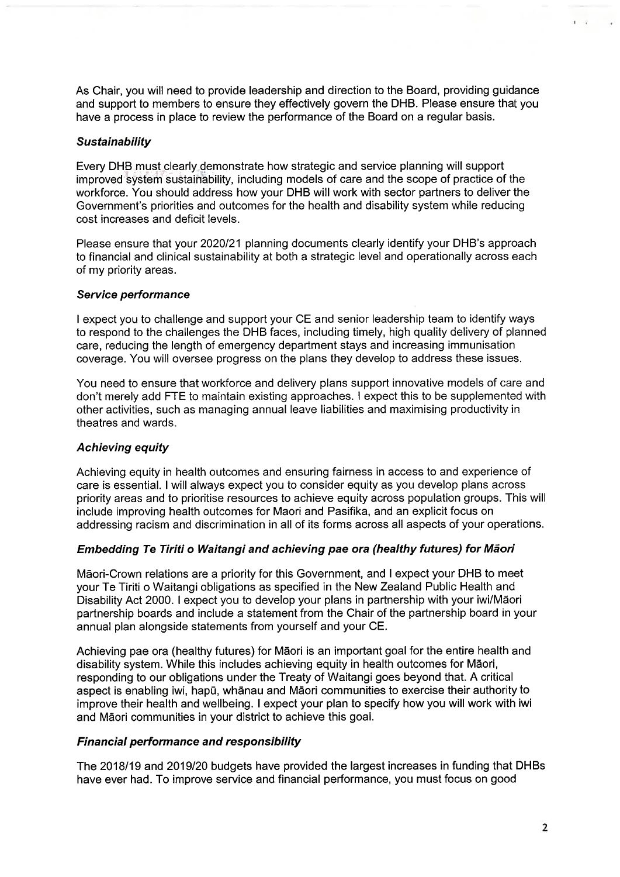As Chair, you will need to provide leadership and direction to the Board, providing quidance and support to members to ensure they effectively govern the DHB. Please ensure that you have a process in place to review the performance of the Board on a regular basis.

#### **Sustainability**

Every DHB must clearly demonstrate how strategic and service planning will support improved system sustainability, including models of care and the scope of practice of the workforce. You should address how your DHB will work with sector partners to deliver the Government's priorities and outcomes for the health and disability system while reducing cost increases and deficit levels.

Please ensure that your 2020/21 planning documents clearly identify your DHB's approach to financial and clinical sustainability at both a strategic level and operationally across each of my priority areas.

#### Service performance

I expect you to challenge and support your CE and senior leadership team to identify ways to respond to the challenges the DHB faces, including timely, high quality delivery of planned care, reducing the length of emergency department stays and increasing immunisation coverage. You will oversee progress on the plans they develop to address these issues.

You need to ensure that workforce and delivery plans support innovative models of care and don't merely add FTE to maintain existing approaches. I expect this to be supplemented with other activities, such as managing annual leave liabilities and maximising productivity in theatres and wards.

# **Achieving equity**

Achieving equity in health outcomes and ensuring fairness in access to and experience of care is essential. I will always expect you to consider equity as you develop plans across priority areas and to prioritise resources to achieve equity across population groups. This will include improving health outcomes for Maori and Pasifika, and an explicit focus on addressing racism and discrimination in all of its forms across all aspects of your operations.

# Embedding Te Tiriti o Waitangi and achieving pae ora (healthy futures) for Māori

Māori-Crown relations are a priority for this Government, and I expect your DHB to meet your Te Tiriti o Waitangi obligations as specified in the New Zealand Public Health and Disability Act 2000. I expect you to develop your plans in partnership with your iwi/Māori partnership boards and include a statement from the Chair of the partnership board in your annual plan alongside statements from yourself and your CE.

Achieving pae ora (healthy futures) for Māori is an important goal for the entire health and disability system. While this includes achieving equity in health outcomes for Māori, responding to our obligations under the Treaty of Waitangi goes beyond that. A critical aspect is enabling iwi, hapu, whanau and Maori communities to exercise their authority to improve their health and wellbeing. I expect your plan to specify how you will work with iwi and Māori communities in your district to achieve this goal.

# **Financial performance and responsibility**

The 2018/19 and 2019/20 budgets have provided the largest increases in funding that DHBs have ever had. To improve service and financial performance, you must focus on good

 $1 - 22$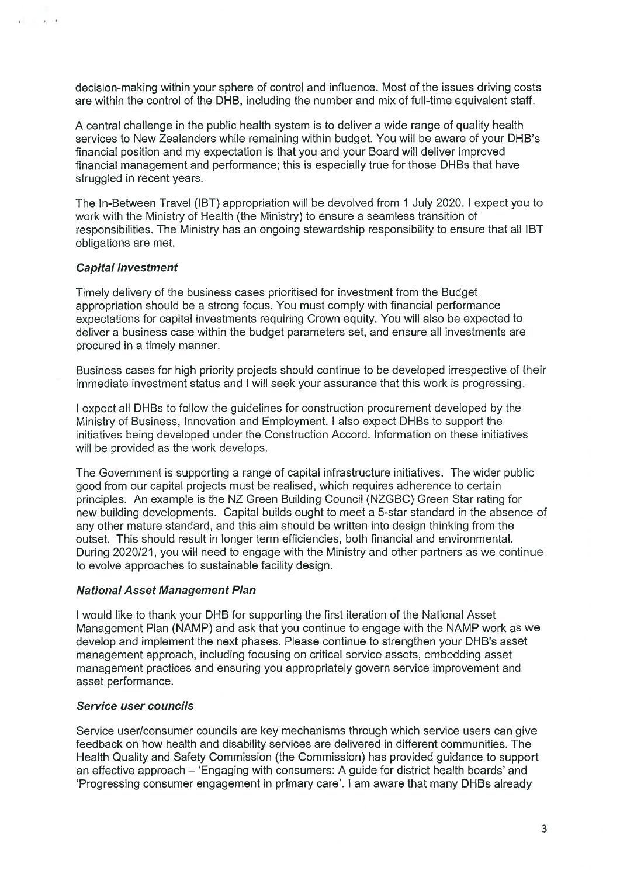decision-making within your sphere of control and influence. Most of the issues driving costs are within the control of the DHB, including the number and mix of full-time equivalent staff.

A central challenge in the public health system is to deliver a wide range of quality health services to New Zealanders while remaining within budget. You will be aware of your DHB's financial position and my expectation is that you and your Board will deliver improved financial management and performance; this is especially true for those DHBs that have struggled in recent years.

The In-Between Travel (IBT) appropriation will be devolved from 1 July 2020. I expect you to work with the Ministry of Health (the Ministry) to ensure a seamless transition of responsibilities. The Ministry has an ongoing stewardship responsibility to ensure that all IBT obligations are met.

# **Capital investment**

 $\sim$ 

Timely delivery of the business cases prioritised for investment from the Budget appropriation should be a strong focus. You must comply with financial performance expectations for capital investments requiring Crown equity. You will also be expected to deliver a business case within the budget parameters set, and ensure all investments are procured in a timely manner.

Business cases for high priority projects should continue to be developed irrespective of their immediate investment status and I will seek your assurance that this work is progressing.

I expect all DHBs to follow the guidelines for construction procurement developed by the Ministry of Business, Innovation and Employment. I also expect DHBs to support the initiatives being developed under the Construction Accord. Information on these initiatives will be provided as the work develops.

The Government is supporting a range of capital infrastructure initiatives. The wider public good from our capital projects must be realised, which requires adherence to certain principles. An example is the NZ Green Building Council (NZGBC) Green Star rating for new building developments. Capital builds ought to meet a 5-star standard in the absence of any other mature standard, and this aim should be written into design thinking from the outset. This should result in longer term efficiencies, both financial and environmental. During 2020/21, you will need to engage with the Ministry and other partners as we continue to evolve approaches to sustainable facility design.

#### **National Asset Management Plan**

I would like to thank your DHB for supporting the first iteration of the National Asset Management Plan (NAMP) and ask that you continue to engage with the NAMP work as we develop and implement the next phases. Please continue to strengthen your DHB's asset management approach, including focusing on critical service assets, embedding asset management practices and ensuring you appropriately govern service improvement and asset performance.

#### Service user councils

Service user/consumer councils are key mechanisms through which service users can give feedback on how health and disability services are delivered in different communities. The Health Quality and Safety Commission (the Commission) has provided guidance to support an effective approach – 'Engaging with consumers: A guide for district health boards' and 'Progressing consumer engagement in primary care'. I am aware that many DHBs already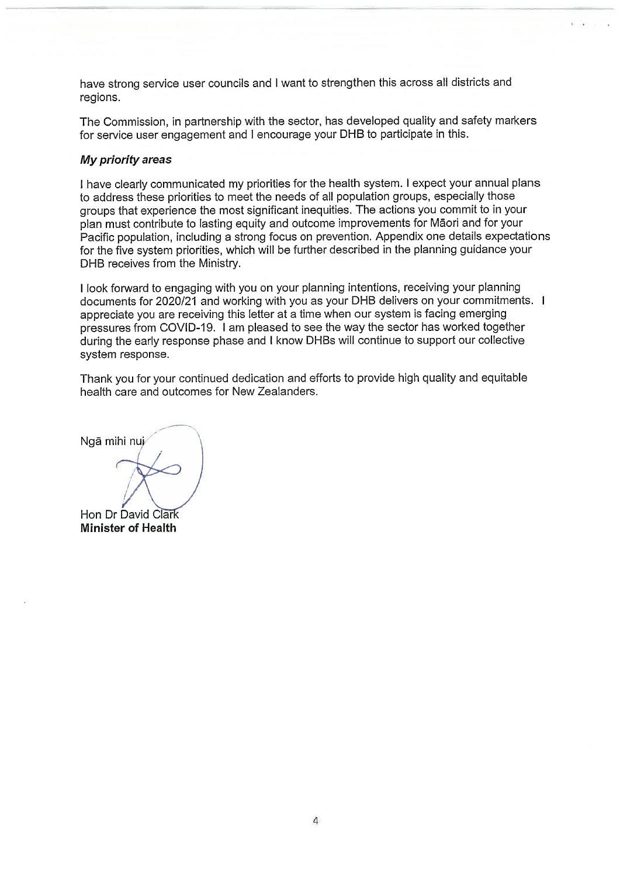have strong service user councils and I want to strengthen this across all districts and regions.

The Commission, in partnership with the sector, has developed quality and safety markers for service user engagement and I encourage your DHB to participate in this.

#### My priority areas

I have clearly communicated my priorities for the health system. I expect your annual plans to address these priorities to meet the needs of all population groups, especially those groups that experience the most significant inequities. The actions you commit to in your plan must contribute to lasting equity and outcome improvements for Maori and for your Pacific population, including a strong focus on prevention. Appendix one details expectations for the five system priorities, which will be further described in the planning guidance your DHB receives from the Ministry.

I look forward to engaging with you on your planning intentions, receiving your planning documents for 2020/21 and working with you as your DHB delivers on your commitments. I appreciate you are receiving this letter at a time when our system is facing emerging pressures from COVID-19. I am pleased to see the way the sector has worked together during the early response phase and I know DHBs will continue to support our collective system response.

Thank you for your continued dedication and efforts to provide high quality and equitable health care and outcomes for New Zealanders.

Ngā mihi nuj Hon Dr David Clark **Minister of Health**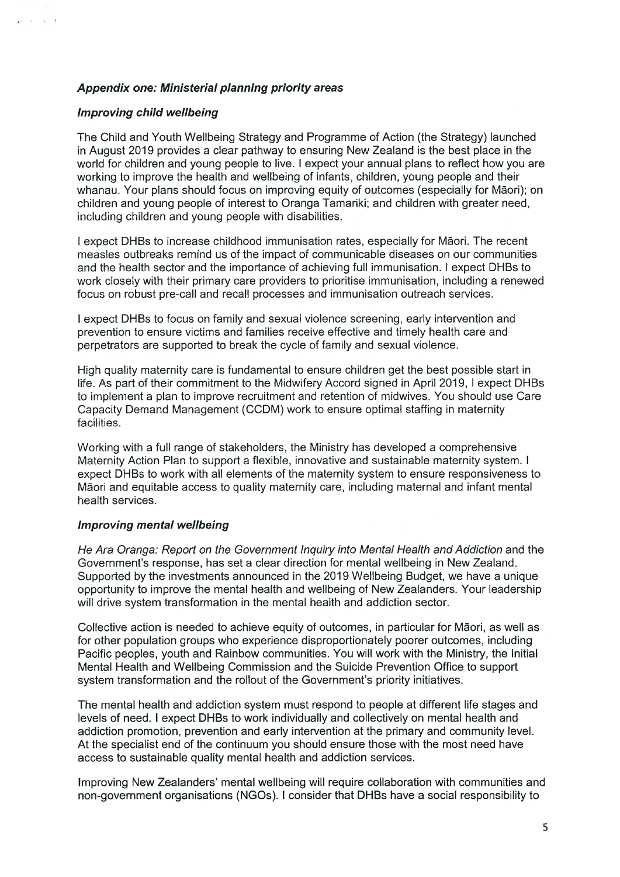# **Appendix one: Ministerial planning priority areas**

# Improving child wellbeing

 $x = 0$   $\in$  11

The Child and Youth Wellbeing Strategy and Programme of Action (the Strategy) launched in August 2019 provides a clear pathway to ensuring New Zealand is the best place in the world for children and young people to live. I expect your annual plans to reflect how you are working to improve the health and wellbeing of infants, children, young people and their whanau. Your plans should focus on improving equity of outcomes (especially for Māori); on children and young people of interest to Oranga Tamariki; and children with greater need, including children and young people with disabilities.

I expect DHBs to increase childhood immunisation rates, especially for Māori. The recent measles outbreaks remind us of the impact of communicable diseases on our communities and the health sector and the importance of achieving full immunisation. I expect DHBs to work closely with their primary care providers to prioritise immunisation, including a renewed focus on robust pre-call and recall processes and immunisation outreach services.

I expect DHBs to focus on family and sexual violence screening, early intervention and prevention to ensure victims and families receive effective and timely health care and perpetrators are supported to break the cycle of family and sexual violence.

High quality maternity care is fundamental to ensure children get the best possible start in life. As part of their commitment to the Midwifery Accord signed in April 2019, I expect DHBs to implement a plan to improve recruitment and retention of midwives. You should use Care Capacity Demand Management (CCDM) work to ensure optimal staffing in maternity facilities.

Working with a full range of stakeholders, the Ministry has developed a comprehensive Maternity Action Plan to support a flexible, innovative and sustainable maternity system. I expect DHBs to work with all elements of the maternity system to ensure responsiveness to Māori and equitable access to quality maternity care, including maternal and infant mental health services.

# **Improving mental wellbeing**

He Ara Oranga: Report on the Government Inquiry into Mental Health and Addiction and the Government's response, has set a clear direction for mental wellbeing in New Zealand. Supported by the investments announced in the 2019 Wellbeing Budget, we have a unique opportunity to improve the mental health and wellbeing of New Zealanders. Your leadership will drive system transformation in the mental health and addiction sector.

Collective action is needed to achieve equity of outcomes, in particular for Māori, as well as for other population groups who experience disproportionately poorer outcomes, including Pacific peoples, youth and Rainbow communities. You will work with the Ministry, the Initial Mental Health and Wellbeing Commission and the Suicide Prevention Office to support system transformation and the rollout of the Government's priority initiatives.

The mental health and addiction system must respond to people at different life stages and levels of need. I expect DHBs to work individually and collectively on mental health and addiction promotion, prevention and early intervention at the primary and community level. At the specialist end of the continuum you should ensure those with the most need have access to sustainable quality mental health and addiction services.

Improving New Zealanders' mental wellbeing will require collaboration with communities and non-government organisations (NGOs). I consider that DHBs have a social responsibility to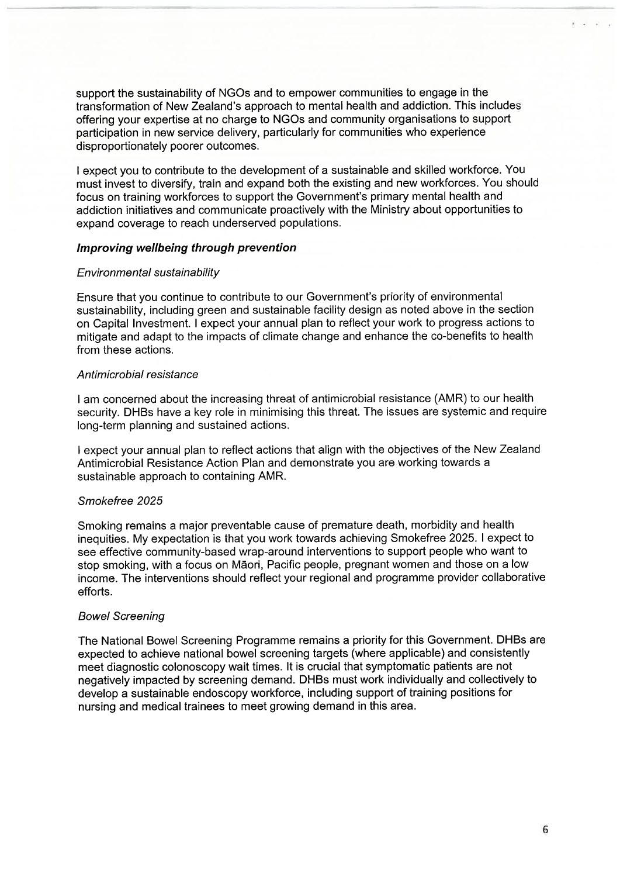support the sustainability of NGOs and to empower communities to engage in the transformation of New Zealand's approach to mental health and addiction. This includes offering your expertise at no charge to NGOs and community organisations to support participation in new service delivery, particularly for communities who experience disproportionately poorer outcomes.

I expect you to contribute to the development of a sustainable and skilled workforce. You must invest to diversify, train and expand both the existing and new workforces. You should focus on training workforces to support the Government's primary mental health and addiction initiatives and communicate proactively with the Ministry about opportunities to expand coverage to reach underserved populations.

#### Improving wellbeing through prevention

#### Environmental sustainability

Ensure that you continue to contribute to our Government's priority of environmental sustainability, including green and sustainable facility design as noted above in the section on Capital Investment. I expect your annual plan to reflect your work to progress actions to mitigate and adapt to the impacts of climate change and enhance the co-benefits to health from these actions.

#### Antimicrobial resistance

I am concerned about the increasing threat of antimicrobial resistance (AMR) to our health security. DHBs have a key role in minimising this threat. The issues are systemic and require long-term planning and sustained actions.

I expect your annual plan to reflect actions that align with the objectives of the New Zealand Antimicrobial Resistance Action Plan and demonstrate you are working towards a sustainable approach to containing AMR.

# Smokefree 2025

Smoking remains a major preventable cause of premature death, morbidity and health inequities. My expectation is that you work towards achieving Smokefree 2025. I expect to see effective community-based wrap-around interventions to support people who want to stop smoking, with a focus on Māori, Pacific people, pregnant women and those on a low income. The interventions should reflect your regional and programme provider collaborative efforts.

# **Bowel Screening**

The National Bowel Screening Programme remains a priority for this Government. DHBs are expected to achieve national bowel screening targets (where applicable) and consistently meet diagnostic colonoscopy wait times. It is crucial that symptomatic patients are not negatively impacted by screening demand. DHBs must work individually and collectively to develop a sustainable endoscopy workforce, including support of training positions for nursing and medical trainees to meet growing demand in this area.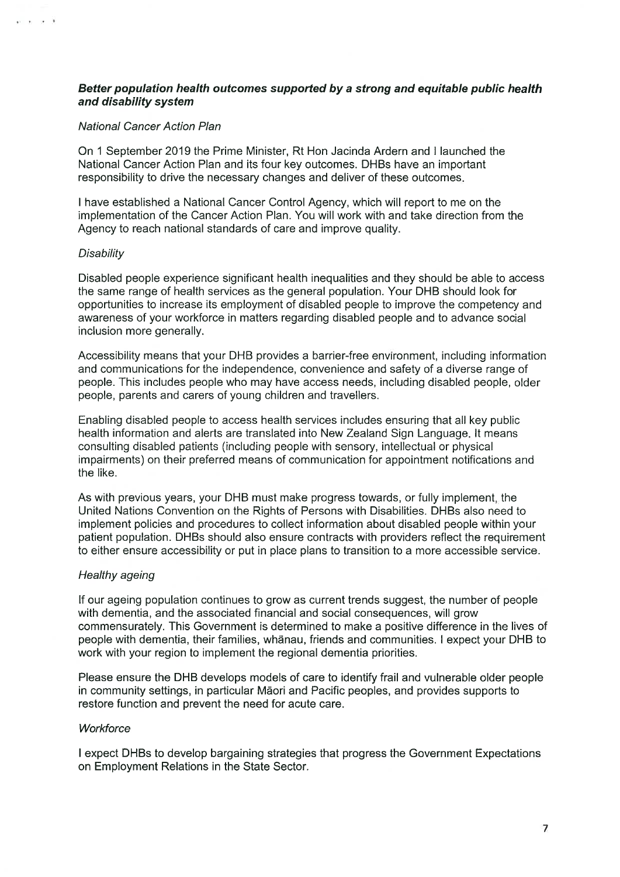# Better population health outcomes supported by a strong and equitable public health and disability system

#### National Cancer Action Plan

On 1 September 2019 the Prime Minister, Rt Hon Jacinda Ardern and I launched the National Cancer Action Plan and its four key outcomes. DHBs have an important responsibility to drive the necessary changes and deliver of these outcomes.

I have established a National Cancer Control Agency, which will report to me on the implementation of the Cancer Action Plan. You will work with and take direction from the Agency to reach national standards of care and improve quality.

#### Disability

 $x = x - x - 1$ 

Disabled people experience significant health inequalities and they should be able to access the same range of health services as the general population. Your DHB should look for opportunities to increase its employment of disabled people to improve the competency and awareness of your workforce in matters regarding disabled people and to advance social inclusion more generally.

Accessibility means that your DHB provides a barrier-free environment, including information and communications for the independence, convenience and safety of a diverse range of people. This includes people who may have access needs, including disabled people, older people, parents and carers of young children and travellers.

Enabling disabled people to access health services includes ensuring that all key public health information and alerts are translated into New Zealand Sign Language. It means consulting disabled patients (including people with sensory, intellectual or physical impairments) on their preferred means of communication for appointment notifications and the like.

As with previous years, your DHB must make progress towards, or fully implement, the United Nations Convention on the Rights of Persons with Disabilities. DHBs also need to implement policies and procedures to collect information about disabled people within your patient population. DHBs should also ensure contracts with providers reflect the requirement to either ensure accessibility or put in place plans to transition to a more accessible service.

# Healthy ageing

If our ageing population continues to grow as current trends suggest, the number of people with dementia, and the associated financial and social consequences, will grow commensurately. This Government is determined to make a positive difference in the lives of people with dementia, their families, whanau, friends and communities. I expect your DHB to work with your region to implement the regional dementia priorities.

Please ensure the DHB develops models of care to identify frail and vulnerable older people in community settings, in particular Māori and Pacific peoples, and provides supports to restore function and prevent the need for acute care.

# Workforce

I expect DHBs to develop bargaining strategies that progress the Government Expectations on Employment Relations in the State Sector.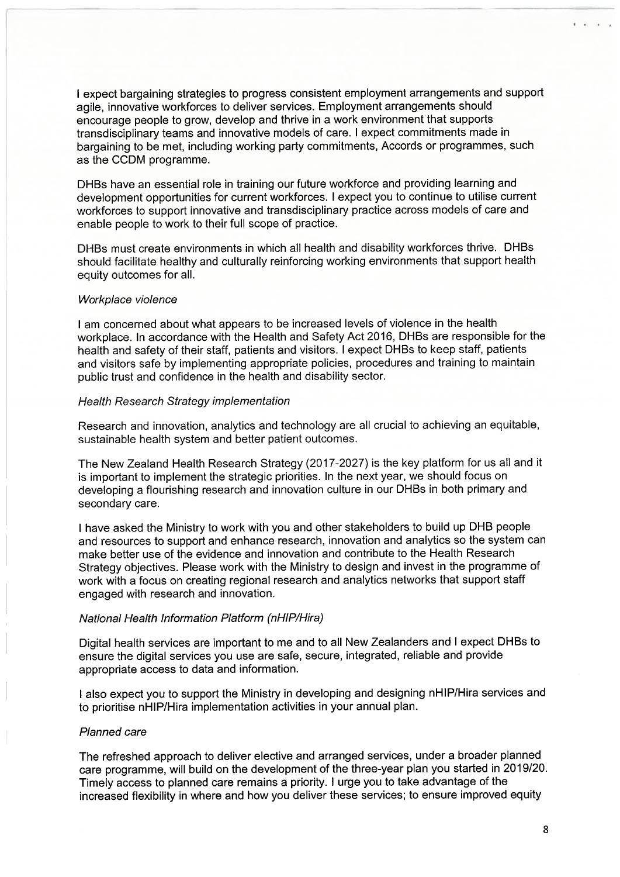I expect bargaining strategies to progress consistent employment arrangements and support agile, innovative workforces to deliver services. Employment arrangements should encourage people to grow, develop and thrive in a work environment that supports transdisciplinary teams and innovative models of care. I expect commitments made in bargaining to be met, including working party commitments, Accords or programmes, such as the CCDM programme.

DHBs have an essential role in training our future workforce and providing learning and development opportunities for current workforces. I expect you to continue to utilise current workforces to support innovative and transdisciplinary practice across models of care and enable people to work to their full scope of practice.

DHBs must create environments in which all health and disability workforces thrive. DHBs should facilitate healthy and culturally reinforcing working environments that support health equity outcomes for all.

# Workplace violence

I am concerned about what appears to be increased levels of violence in the health workplace. In accordance with the Health and Safety Act 2016, DHBs are responsible for the health and safety of their staff, patients and visitors. I expect DHBs to keep staff, patients and visitors safe by implementing appropriate policies, procedures and training to maintain public trust and confidence in the health and disability sector.

#### **Health Research Strategy implementation**

Research and innovation, analytics and technology are all crucial to achieving an equitable, sustainable health system and better patient outcomes.

The New Zealand Health Research Strategy (2017-2027) is the key platform for us all and it is important to implement the strategic priorities. In the next year, we should focus on developing a flourishing research and innovation culture in our DHBs in both primary and secondary care.

I have asked the Ministry to work with you and other stakeholders to build up DHB people and resources to support and enhance research, innovation and analytics so the system can make better use of the evidence and innovation and contribute to the Health Research Strategy objectives. Please work with the Ministry to design and invest in the programme of work with a focus on creating regional research and analytics networks that support staff engaged with research and innovation.

# National Health Information Platform (nHIP/Hira)

Digital health services are important to me and to all New Zealanders and I expect DHBs to ensure the digital services you use are safe, secure, integrated, reliable and provide appropriate access to data and information.

I also expect you to support the Ministry in developing and designing nHIP/Hira services and to prioritise nHIP/Hira implementation activities in your annual plan.

# **Planned care**

The refreshed approach to deliver elective and arranged services, under a broader planned care programme, will build on the development of the three-year plan you started in 2019/20. Timely access to planned care remains a priority. I urge you to take advantage of the increased flexibility in where and how you deliver these services; to ensure improved equity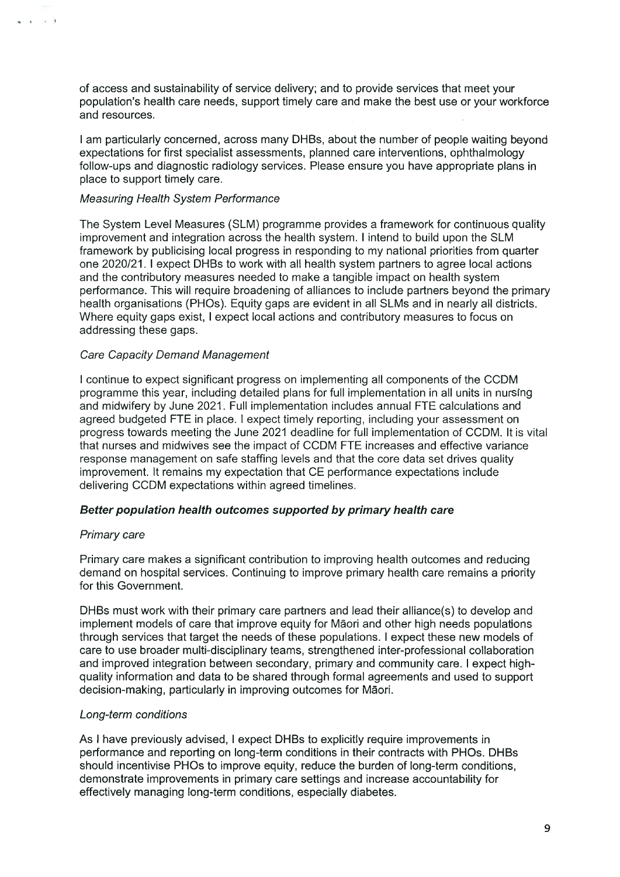of access and sustainability of service delivery; and to provide services that meet your population's health care needs, support timely care and make the best use or your workforce and resources.

I am particularly concerned, across many DHBs, about the number of people waiting beyond expectations for first specialist assessments, planned care interventions, ophthalmology follow-ups and diagnostic radiology services. Please ensure you have appropriate plans in place to support timely care.

#### **Measuring Health System Performance**

The System Level Measures (SLM) programme provides a framework for continuous quality improvement and integration across the health system. I intend to build upon the SLM framework by publicising local progress in responding to my national priorities from quarter one 2020/21. I expect DHBs to work with all health system partners to agree local actions and the contributory measures needed to make a tangible impact on health system performance. This will require broadening of alliances to include partners beyond the primary health organisations (PHOs). Equity gaps are evident in all SLMs and in nearly all districts. Where equity gaps exist, I expect local actions and contributory measures to focus on addressing these gaps.

#### **Care Capacity Demand Management**

I continue to expect significant progress on implementing all components of the CCDM programme this year, including detailed plans for full implementation in all units in nursing and midwifery by June 2021. Full implementation includes annual FTE calculations and agreed budgeted FTE in place. I expect timely reporting, including your assessment on progress towards meeting the June 2021 deadline for full implementation of CCDM. It is vital that nurses and midwives see the impact of CCDM FTE increases and effective variance response management on safe staffing levels and that the core data set drives quality improvement. It remains my expectation that CE performance expectations include delivering CCDM expectations within agreed timelines.

# Better population health outcomes supported by primary health care

#### Primary care

فالمستعادة

Primary care makes a significant contribution to improving health outcomes and reducing demand on hospital services. Continuing to improve primary health care remains a priority for this Government.

DHBs must work with their primary care partners and lead their alliance(s) to develop and implement models of care that improve equity for Māori and other high needs populations through services that target the needs of these populations. I expect these new models of care to use broader multi-disciplinary teams, strengthened inter-professional collaboration and improved integration between secondary, primary and community care. I expect highquality information and data to be shared through formal agreements and used to support decision-making, particularly in improving outcomes for Māori.

# Long-term conditions

As I have previously advised, I expect DHBs to explicitly require improvements in performance and reporting on long-term conditions in their contracts with PHOs. DHBs should incentivise PHOs to improve equity, reduce the burden of long-term conditions, demonstrate improvements in primary care settings and increase accountability for effectively managing long-term conditions, especially diabetes.